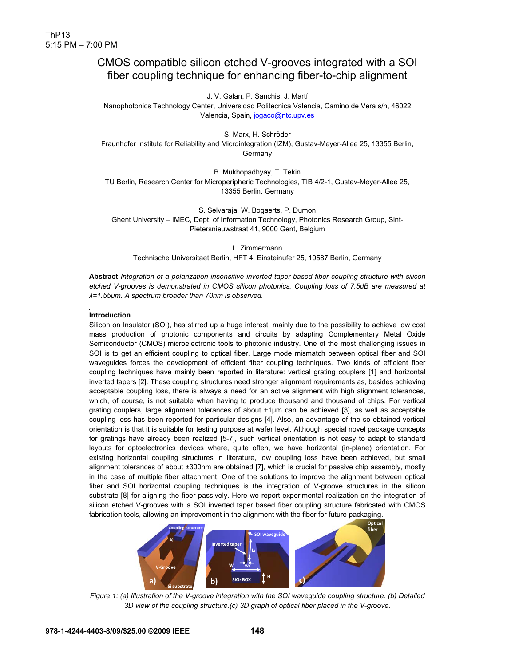# CMOS compatible silicon etched V-grooves integrated with a SOI fiber coupling technique for enhancing fiber-to-chip alignment

J. V. Galan, P. Sanchis, J. Martí

Nanophotonics Technology Center, Universidad Politecnica Valencia, Camino de Vera s/n, 46022 Valencia, Spain, jogaco@ntc.upv.es

S. Marx, H. Schröder Fraunhofer Institute for Reliability and Microintegration (IZM), Gustav-Meyer-Allee 25, 13355 Berlin, Germany

B. Mukhopadhyay, T. Tekin TU Berlin, Research Center for Microperipheric Technologies, TIB 4/2-1, Gustav-Meyer-Allee 25, 13355 Berlin, Germany

S. Selvaraja, W. Bogaerts, P. Dumon Ghent University – IMEC, Dept. of Information Technology, Photonics Research Group, Sint-Pietersnieuwstraat 41, 9000 Gent, Belgium

L. Zimmermann Technische Universitaet Berlin, HFT 4, Einsteinufer 25, 10587 Berlin, Germany

**Abstract** *Integration of a polarization insensitive inverted taper-based fiber coupling structure with silicon etched V-grooves is demonstrated in CMOS silicon photonics. Coupling loss of 7.5dB are measured at λ=1.55µm. A spectrum broader than 70nm is observed.* 

## **Introduction**

Silicon on Insulator (SOI), has stirred up a huge interest, mainly due to the possibility to achieve low cost mass production of photonic components and circuits by adapting Complementary Metal Oxide Semiconductor (CMOS) microelectronic tools to photonic industry. One of the most challenging issues in SOI is to get an efficient coupling to optical fiber. Large mode mismatch between optical fiber and SOI waveguides forces the development of efficient fiber coupling techniques. Two kinds of efficient fiber coupling techniques have mainly been reported in literature: vertical grating couplers [1] and horizontal inverted tapers [2]. These coupling structures need stronger alignment requirements as, besides achieving acceptable coupling loss, there is always a need for an active alignment with high alignment tolerances, which, of course, is not suitable when having to produce thousand and thousand of chips. For vertical grating couplers, large alignment tolerances of about ±1µm can be achieved [3], as well as acceptable coupling loss has been reported for particular designs [4]. Also, an advantage of the so obtained vertical orientation is that it is suitable for testing purpose at wafer level. Although special novel package concepts for gratings have already been realized [5-7], such vertical orientation is not easy to adapt to standard layouts for optoelectronics devices where, quite often, we have horizontal (in-plane) orientation. For existing horizontal coupling structures in literature, low coupling loss have been achieved, but small alignment tolerances of about ±300nm are obtained [7], which is crucial for passive chip assembly, mostly in the case of multiple fiber attachment. One of the solutions to improve the alignment between optical fiber and SOI horizontal coupling techniques is the integration of V-groove structures in the silicon substrate [8] for aligning the fiber passively. Here we report experimental realization on the integration of silicon etched V-grooves with a SOI inverted taper based fiber coupling structure fabricated with CMOS fabrication tools, allowing an improvement in the alignment with the fiber for future packaging.



*Figure 1: (a) Illustration of the V-groove integration with the SOI waveguide coupling structure. (b) Detailed 3D view of the coupling structure.(c) 3D graph of optical fiber placed in the V-groove.*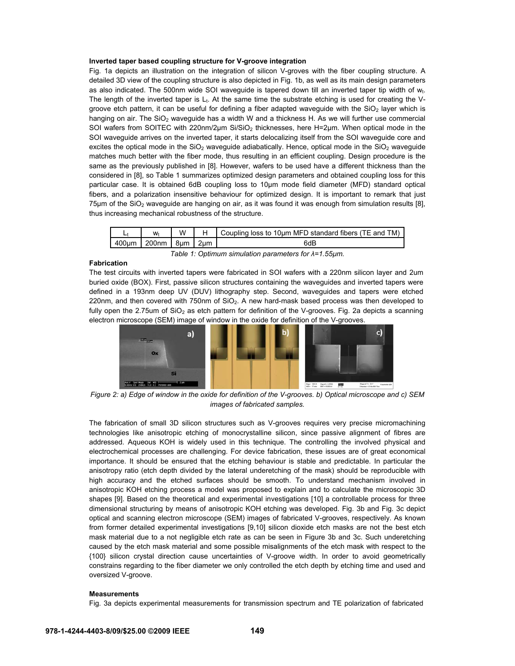## **Inverted taper based coupling structure for V-groove integration**

Fig. 1a depicts an illustration on the integration of silicon V-groves with the fiber coupling structure. A detailed 3D view of the coupling structure is also depicted in Fig. 1b, as well as its main design parameters as also indicated. The 500nm wide SOI waveguide is tapered down till an inverted taper tip width of  $w_t$ . The length of the inverted taper is  $L_t$ . At the same time the substrate etching is used for creating the Vgroove etch pattern, it can be useful for defining a fiber adapted waveguide with the  $SiO<sub>2</sub>$  layer which is hanging on air. The  $SiO<sub>2</sub>$  waveguide has a width W and a thickness H. As we will further use commercial SOI wafers from SOITEC with 220nm/2µm Si/SiO<sub>2</sub> thicknesses, here H=2µm. When optical mode in the SOI waveguide arrives on the inverted taper, it starts delocalizing itself from the SOI waveguide core and excites the optical mode in the  $SiO<sub>2</sub>$  waveguide adiabatically. Hence, optical mode in the  $SiO<sub>2</sub>$  waveguide matches much better with the fiber mode, thus resulting in an efficient coupling. Design procedure is the same as the previously published in [8]. However, wafers to be used have a different thickness than the considered in [8], so Table 1 summarizes optimized design parameters and obtained coupling loss for this particular case. It is obtained 6dB coupling loss to 10µm mode field diameter (MFD) standard optical fibers, and a polarization insensitive behaviour for optimized design. It is important to remark that just 75 $\mu$ m of the SiO<sub>2</sub> waveguide are hanging on air, as it was found it was enough from simulation results [8], thus increasing mechanical robustness of the structure.

|                                              | $W_{t}$ | W |  | $\parallel$ H $\parallel$ Coupling loss to 10 $\mu$ m MFD standard fibers (TE and TM) |
|----------------------------------------------|---------|---|--|---------------------------------------------------------------------------------------|
| $1400 \mu m$   200nm   8 $\mu$ m   2 $\mu$ m |         |   |  | 6dB                                                                                   |
|                                              |         |   |  |                                                                                       |

#### *Table 1: Optimum simulation parameters for λ=1.55µm.*

## **Fabrication**

The test circuits with inverted tapers were fabricated in SOI wafers with a 220nm silicon layer and 2um buried oxide (BOX). First, passive silicon structures containing the waveguides and inverted tapers were defined in a 193nm deep UV (DUV) lithography step. Second, waveguides and tapers were etched 220nm, and then covered with  $750$ nm of  $SiO<sub>2</sub>$ . A new hard-mask based process was then developed to fully open the 2.75um of  $SiO<sub>2</sub>$  as etch pattern for definition of the V-grooves. Fig. 2a depicts a scanning electron microscope (SEM) image of window in the oxide for definition of the V-grooves.



*Figure 2: a) Edge of window in the oxide for definition of the V-grooves. b) Optical microscope and c) SEM images of fabricated samples.* 

The fabrication of small 3D silicon structures such as V-grooves requires very precise micromachining technologies like anisotropic etching of monocrystalline silicon, since passive alignment of fibres are addressed. Aqueous KOH is widely used in this technique. The controlling the involved physical and electrochemical processes are challenging. For device fabrication, these issues are of great economical importance. It should be ensured that the etching behaviour is stable and predictable. In particular the anisotropy ratio (etch depth divided by the lateral underetching of the mask) should be reproducible with high accuracy and the etched surfaces should be smooth. To understand mechanism involved in anisotropic KOH etching process a model was proposed to explain and to calculate the microscopic 3D shapes [9]. Based on the theoretical and experimental investigations [10] a controllable process for three dimensional structuring by means of anisotropic KOH etching was developed. Fig. 3b and Fig. 3c depict optical and scanning electron microscope (SEM) images of fabricated V-grooves, respectively. As known from former detailed experimental investigations [9,10] silicon dioxide etch masks are not the best etch mask material due to a not negligible etch rate as can be seen in Figure 3b and 3c. Such underetching caused by the etch mask material and some possible misalignments of the etch mask with respect to the {100} silicon crystal direction cause uncertainties of V-groove width. In order to avoid geometrically constrains regarding to the fiber diameter we only controlled the etch depth by etching time and used and oversized V-groove.

#### **Measurements**

Fig. 3a depicts experimental measurements for transmission spectrum and TE polarization of fabricated